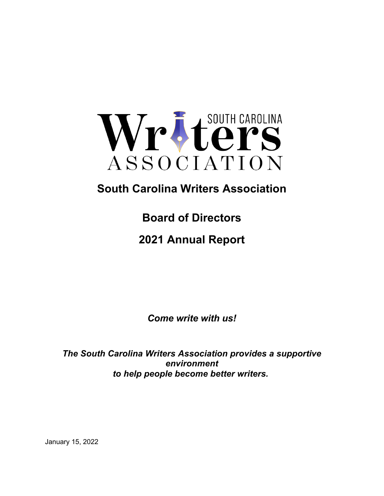

# **South Carolina Writers Association**

**Board of Directors**

**2021 Annual Report**

*Come write with us!*

*The South Carolina Writers Association provides a supportive environment to help people become better writers.*

January 15, 2022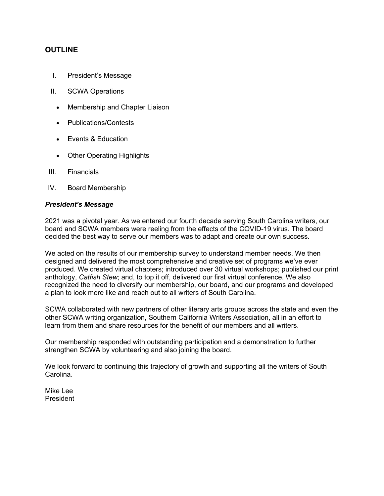## **OUTLINE**

- I. President's Message
- II. SCWA Operations
	- Membership and Chapter Liaison
	- Publications/Contests
	- Events & Education
	- Other Operating Highlights
- III. Financials
- IV. Board Membership

#### *President's Message*

2021 was a pivotal year. As we entered our fourth decade serving South Carolina writers, our board and SCWA members were reeling from the effects of the COVID-19 virus. The board decided the best way to serve our members was to adapt and create our own success.

We acted on the results of our membership survey to understand member needs. We then designed and delivered the most comprehensive and creative set of programs we've ever produced. We created virtual chapters; introduced over 30 virtual workshops; published our print anthology, *Catfish Stew*; and, to top it off, delivered our first virtual conference. We also recognized the need to diversify our membership, our board, and our programs and developed a plan to look more like and reach out to all writers of South Carolina.

SCWA collaborated with new partners of other literary arts groups across the state and even the other SCWA writing organization, Southern California Writers Association, all in an effort to learn from them and share resources for the benefit of our members and all writers.

Our membership responded with outstanding participation and a demonstration to further strengthen SCWA by volunteering and also joining the board.

We look forward to continuing this trajectory of growth and supporting all the writers of South Carolina.

Mike Lee President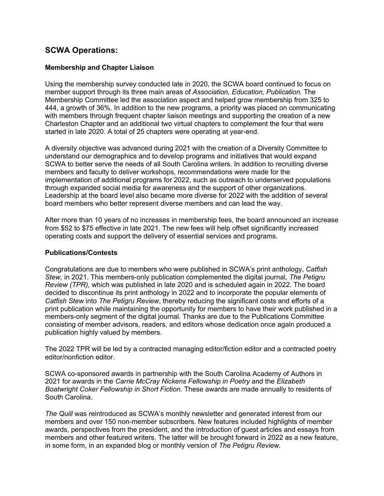# **SCWA Operations:**

#### **Membership and Chapter Liaison**

Using the membership survey conducted late in 2020, the SCWA board continued to focus on member support through its three main areas of *Association, Education, Publication.* The Membership Committee led the association aspect and helped grow membership from 325 to 444, a growth of 36%. In addition to the new programs, a priority was placed on communicating with members through frequent chapter liaison meetings and supporting the creation of a new Charleston Chapter and an additional two virtual chapters to complement the four that were started in late 2020. A total of 25 chapters were operating at year-end.

A diversity objective was advanced during 2021 with the creation of a Diversity Committee to understand our demographics and to develop programs and initiatives that would expand SCWA to better serve the needs of all South Carolina writers. In addition to recruiting diverse members and faculty to deliver workshops, recommendations were made for the implementation of additional programs for 2022, such as outreach to underserved populations through expanded social media for awareness and the support of other organizations. Leadership at the board level also became more diverse for 2022 with the addition of several board members who better represent diverse members and can lead the way.

After more than 10 years of no increases in membership fees, the board announced an increase from \$52 to \$75 effective in late 2021. The new fees will help offset significantly increased operating costs and support the delivery of essential services and programs.

#### **Publications/Contests**

Congratulations are due to members who were published in SCWA's print anthology, *Catfish Stew,* in 2021. This members-only publication complemented the digital journal, *The Petigru Review (TPR),* which was published in late 2020 and is scheduled again in 2022. The board decided to discontinue its print anthology in 2022 and to incorporate the popular elements of *Catfish Stew* into *The Petigru Review*, thereby reducing the significant costs and efforts of a print publication while maintaining the opportunity for members to have their work published in a members-only segment of the digital journal. Thanks are due to the Publications Committee consisting of member advisors, readers, and editors whose dedication once again produced a publication highly valued by members.

The 2022 TPR will be led by a contracted managing editor/fiction editor and a contracted poetry editor/nonfiction editor.

SCWA co-sponsored awards in partnership with the South Carolina Academy of Authors in 2021 for awards in the *Carrie McCray Nickens Fellowship in Poetry* and the *Elizabeth Boatwright Coker Fellowship in Short Fiction.* These awards are made annually to residents of South Carolina.

*The Quill* was reintroduced as SCWA's monthly newsletter and generated interest from our members and over 150 non-member subscribers. New features included highlights of member awards, perspectives from the president, and the introduction of guest articles and essays from members and other featured writers. The latter will be brought forward in 2022 as a new feature, in some form, in an expanded blog or monthly version of *The Petigru Review.*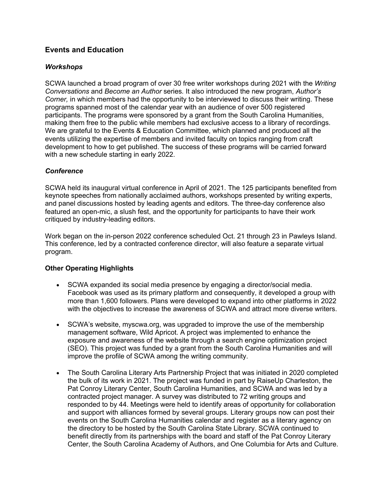## **Events and Education**

#### *Workshops*

SCWA launched a broad program of over 30 free writer workshops during 2021 with the *Writing Conversations* and *Become an Author* series*.* It also introduced the new program, *Author's Corner,* in which members had the opportunity to be interviewed to discuss their writing. These programs spanned most of the calendar year with an audience of over 500 registered participants. The programs were sponsored by a grant from the South Carolina Humanities, making them free to the public while members had exclusive access to a library of recordings. We are grateful to the Events & Education Committee, which planned and produced all the events utilizing the expertise of members and invited faculty on topics ranging from craft development to how to get published. The success of these programs will be carried forward with a new schedule starting in early 2022.

### *Conference*

SCWA held its inaugural virtual conference in April of 2021. The 125 participants benefited from keynote speeches from nationally acclaimed authors, workshops presented by writing experts, and panel discussions hosted by leading agents and editors. The three-day conference also featured an open-mic, a slush fest, and the opportunity for participants to have their work critiqued by industry-leading editors.

Work began on the in-person 2022 conference scheduled Oct. 21 through 23 in Pawleys Island. This conference, led by a contracted conference director, will also feature a separate virtual program.

## **Other Operating Highlights**

- SCWA expanded its social media presence by engaging a director/social media. Facebook was used as its primary platform and consequently, it developed a group with more than 1,600 followers. Plans were developed to expand into other platforms in 2022 with the objectives to increase the awareness of SCWA and attract more diverse writers.
- SCWA's website, myscwa.org, was upgraded to improve the use of the membership management software, Wild Apricot. A project was implemented to enhance the exposure and awareness of the website through a search engine optimization project (SEO). This project was funded by a grant from the South Carolina Humanities and will improve the profile of SCWA among the writing community.
- The South Carolina Literary Arts Partnership Project that was initiated in 2020 completed the bulk of its work in 2021. The project was funded in part by RaiseUp Charleston, the Pat Conroy Literary Center, South Carolina Humanities, and SCWA and was led by a contracted project manager. A survey was distributed to 72 writing groups and responded to by 44. Meetings were held to identify areas of opportunity for collaboration and support with alliances formed by several groups. Literary groups now can post their events on the South Carolina Humanities calendar and register as a literary agency on the directory to be hosted by the South Carolina State Library. SCWA continued to benefit directly from its partnerships with the board and staff of the Pat Conroy Literary Center, the South Carolina Academy of Authors, and One Columbia for Arts and Culture.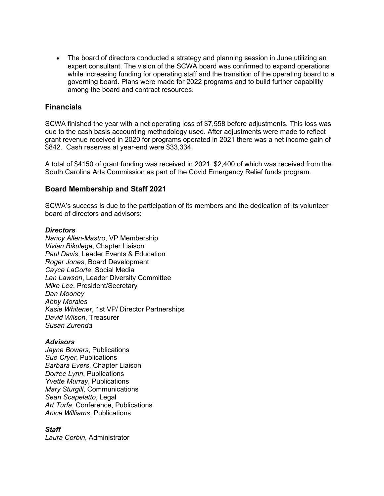The board of directors conducted a strategy and planning session in June utilizing an expert consultant. The vision of the SCWA board was confirmed to expand operations while increasing funding for operating staff and the transition of the operating board to a governing board. Plans were made for 2022 programs and to build further capability among the board and contract resources.

### **Financials**

SCWA finished the year with a net operating loss of \$7,558 before adjustments. This loss was due to the cash basis accounting methodology used. After adjustments were made to reflect grant revenue received in 2020 for programs operated in 2021 there was a net income gain of \$842. Cash reserves at year-end were \$33,334.

A total of \$4150 of grant funding was received in 2021, \$2,400 of which was received from the South Carolina Arts Commission as part of the Covid Emergency Relief funds program.

#### **Board Membership and Staff 2021**

SCWA's success is due to the participation of its members and the dedication of its volunteer board of directors and advisors:

#### *Directors*

*Nancy Allen-Mastro*, VP Membership *Vivian Bikulege*, Chapter Liaison *Paul Davis*, Leader Events & Education *Roger Jones*, Board Development *Cayce LaCorte*, Social Media *Len Lawson*, Leader Diversity Committee *Mike Lee*, President/Secretary *Dan Mooney Abby Morales Kasie Whitener*, 1st VP/ Director Partnerships *David Wilson*, Treasurer *Susan Zurenda*

#### *Advisors*

*Jayne Bowers*, Publications *Sue Cryer*, Publications *Barbara Evers*, Chapter Liaison *Dorree Lynn*, Publications *Yvette Murray*, Publications *Mary Sturgill*, Communications *Sean Scapelatto*, Legal *Art Turfa*, Conference, Publications *Anica Williams*, Publications

#### *Staff*

*Laura Corbin*, Administrator